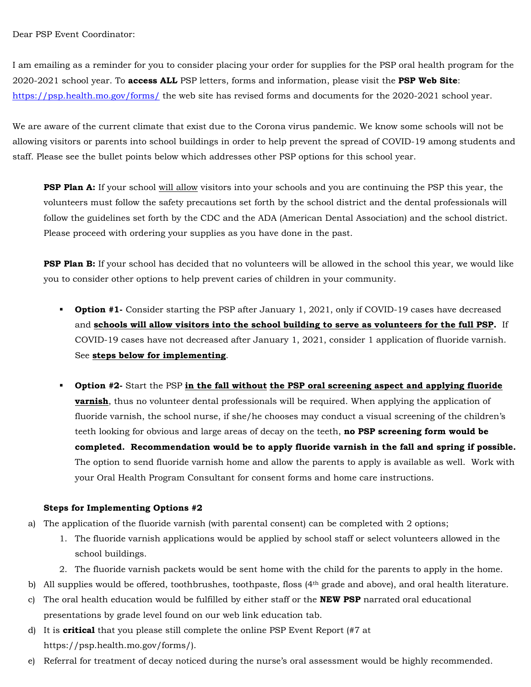Dear PSP Event Coordinator:

I am emailing as a reminder for you to consider placing your order for supplies for the PSP oral health program for the 2020-2021 school year. To **access ALL** PSP letters, forms and information, please visit the **PSP Web Site**: <https://psp.health.mo.gov/forms/> the web site has revised forms and documents for the 2020-2021 school year.

We are aware of the current climate that exist due to the Corona virus pandemic. We know some schools will not be allowing visitors or parents into school buildings in order to help prevent the spread of COVID-19 among students and staff. Please see the bullet points below which addresses other PSP options for this school year.

**PSP Plan A:** If your school will allow visitors into your schools and you are continuing the PSP this year, the volunteers must follow the safety precautions set forth by the school district and the dental professionals will follow the guidelines set forth by the CDC and the ADA (American Dental Association) and the school district. Please proceed with ordering your supplies as you have done in the past.

**PSP Plan B:** If your school has decided that no volunteers will be allowed in the school this year, we would like you to consider other options to help prevent caries of children in your community.

- **Option #1-** Consider starting the PSP after January 1, 2021, only if COVID-19 cases have decreased and **schools will allow visitors into the school building to serve as volunteers for the full PSP.** If COVID-19 cases have not decreased after January 1, 2021, consider 1 application of fluoride varnish. See **steps below for implementing**.
- **Option #2-** Start the PSP **in the fall without the PSP oral screening aspect and applying fluoride varnish**, thus no volunteer dental professionals will be required. When applying the application of fluoride varnish, the school nurse, if she/he chooses may conduct a visual screening of the children's teeth looking for obvious and large areas of decay on the teeth, **no PSP screening form would be completed. Recommendation would be to apply fluoride varnish in the fall and spring if possible.**  The option to send fluoride varnish home and allow the parents to apply is available as well. Work with your Oral Health Program Consultant for consent forms and home care instructions.

## **Steps for Implementing Options #2**

- a) The application of the fluoride varnish (with parental consent) can be completed with 2 options;
	- 1. The fluoride varnish applications would be applied by school staff or select volunteers allowed in the school buildings.
	- 2. The fluoride varnish packets would be sent home with the child for the parents to apply in the home.
- b) All supplies would be offered, toothbrushes, toothpaste, floss (4th grade and above), and oral health literature.
- c) The oral health education would be fulfilled by either staff or the **NEW PSP** narrated oral educational presentations by grade level found on our web link education tab.
- d) It is **critical** that you please still complete the online PSP Event Report (#7 at https://psp.health.mo.gov/forms/).
- e) Referral for treatment of decay noticed during the nurse's oral assessment would be highly recommended.